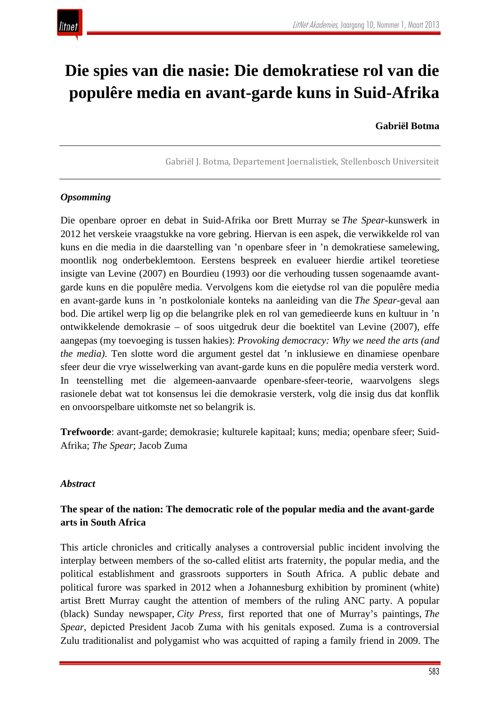

# **Die spies van die nasie: Die demokratiese rol van die populêre media en avant-garde kuns in Suid-Afrika**

## **Gabriël Botma**

Gabriël J. Botma, Departement Joernalistiek, Stellenbosch Universiteit

#### *Opsomming*

Die openbare oproer en debat in Suid-Afrika oor Brett Murray se *The Spear*-kunswerk in 2012 het verskeie vraagstukke na vore gebring. Hiervan is een aspek, die verwikkelde rol van kuns en die media in die daarstelling van 'n openbare sfeer in 'n demokratiese samelewing, moontlik nog onderbeklemtoon. Eerstens bespreek en evalueer hierdie artikel teoretiese insigte van Levine (2007) en Bourdieu (1993) oor die verhouding tussen sogenaamde avantgarde kuns en die populêre media. Vervolgens kom die eietydse rol van die populêre media en avant-garde kuns in 'n postkoloniale konteks na aanleiding van die *The Spear*-geval aan bod. Die artikel werp lig op die belangrike plek en rol van gemedieerde kuns en kultuur in 'n ontwikkelende demokrasie – of soos uitgedruk deur die boektitel van Levine (2007), effe aangepas (my toevoeging is tussen hakies): *Provoking democracy: Why we need the arts (and the media)*. Ten slotte word die argument gestel dat 'n inklusiewe en dinamiese openbare sfeer deur die vrye wisselwerking van avant-garde kuns en die populêre media versterk word. In teenstelling met die algemeen-aanvaarde openbare-sfeer-teorie, waarvolgens slegs rasionele debat wat tot konsensus lei die demokrasie versterk, volg die insig dus dat konflik en onvoorspelbare uitkomste net so belangrik is.

**Trefwoorde**: avant-garde; demokrasie; kulturele kapitaal; kuns; media; openbare sfeer; Suid-Afrika; *The Spear*; Jacob Zuma

#### *Abstract*

# **The spear of the nation: The democratic role of the popular media and the avant-garde arts in South Africa**

This article chronicles and critically analyses a controversial public incident involving the interplay between members of the so-called elitist arts fraternity, the popular media, and the political establishment and grassroots supporters in South Africa. A public debate and political furore was sparked in 2012 when a Johannesburg exhibition by prominent (white) artist Brett Murray caught the attention of members of the ruling ANC party. A popular (black) Sunday newspaper, *City Press*, first reported that one of Murray's paintings, *The Spear*, depicted President Jacob Zuma with his genitals exposed. Zuma is a controversial Zulu traditionalist and polygamist who was acquitted of raping a family friend in 2009. The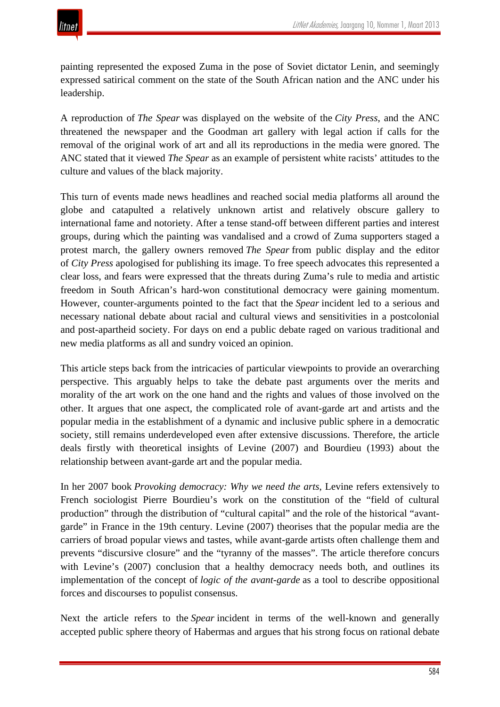painting represented the exposed Zuma in the pose of Soviet dictator Lenin, and seemingly expressed satirical comment on the state of the South African nation and the ANC under his leadership.

A reproduction of *The Spear* was displayed on the website of the *City Press*, and the ANC threatened the newspaper and the Goodman art gallery with legal action if calls for the removal of the original work of art and all its reproductions in the media were gnored. The ANC stated that it viewed *The Spear* as an example of persistent white racists' attitudes to the culture and values of the black majority.

This turn of events made news headlines and reached social media platforms all around the globe and catapulted a relatively unknown artist and relatively obscure gallery to international fame and notoriety. After a tense stand-off between different parties and interest groups, during which the painting was vandalised and a crowd of Zuma supporters staged a protest march, the gallery owners removed *The Spear* from public display and the editor of *City Press* apologised for publishing its image. To free speech advocates this represented a clear loss, and fears were expressed that the threats during Zuma's rule to media and artistic freedom in South African's hard-won constitutional democracy were gaining momentum. However, counter-arguments pointed to the fact that the *Spear* incident led to a serious and necessary national debate about racial and cultural views and sensitivities in a postcolonial and post-apartheid society. For days on end a public debate raged on various traditional and new media platforms as all and sundry voiced an opinion.

This article steps back from the intricacies of particular viewpoints to provide an overarching perspective. This arguably helps to take the debate past arguments over the merits and morality of the art work on the one hand and the rights and values of those involved on the other. It argues that one aspect, the complicated role of avant-garde art and artists and the popular media in the establishment of a dynamic and inclusive public sphere in a democratic society, still remains underdeveloped even after extensive discussions. Therefore, the article deals firstly with theoretical insights of Levine (2007) and Bourdieu (1993) about the relationship between avant-garde art and the popular media.

In her 2007 book *Provoking democracy: Why we need the arts*, Levine refers extensively to French sociologist Pierre Bourdieu's work on the constitution of the "field of cultural production" through the distribution of "cultural capital" and the role of the historical "avantgarde" in France in the 19th century. Levine (2007) theorises that the popular media are the carriers of broad popular views and tastes, while avant-garde artists often challenge them and prevents "discursive closure" and the "tyranny of the masses". The article therefore concurs with Levine's (2007) conclusion that a healthy democracy needs both, and outlines its implementation of the concept of *logic of the avant-garde* as a tool to describe oppositional forces and discourses to populist consensus.

Next the article refers to the *Spear* incident in terms of the well-known and generally accepted public sphere theory of Habermas and argues that his strong focus on rational debate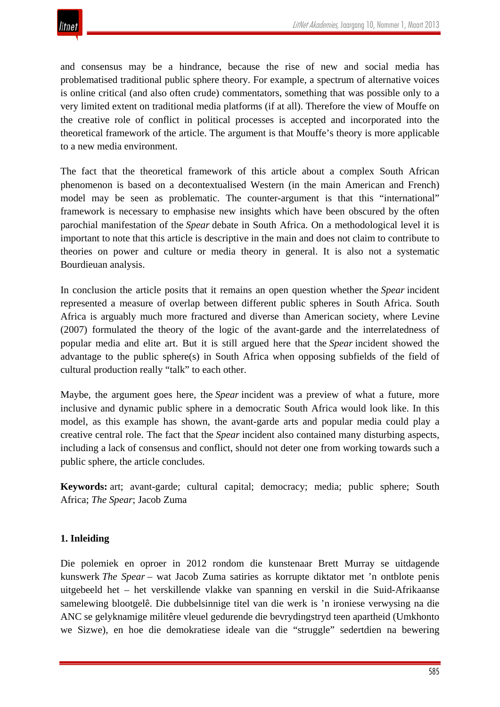and consensus may be a hindrance, because the rise of new and social media has problematised traditional public sphere theory. For example, a spectrum of alternative voices is online critical (and also often crude) commentators, something that was possible only to a very limited extent on traditional media platforms (if at all). Therefore the view of Mouffe on the creative role of conflict in political processes is accepted and incorporated into the theoretical framework of the article. The argument is that Mouffe's theory is more applicable to a new media environment.

The fact that the theoretical framework of this article about a complex South African phenomenon is based on a decontextualised Western (in the main American and French) model may be seen as problematic. The counter-argument is that this "international" framework is necessary to emphasise new insights which have been obscured by the often parochial manifestation of the *Spear* debate in South Africa. On a methodological level it is important to note that this article is descriptive in the main and does not claim to contribute to theories on power and culture or media theory in general. It is also not a systematic Bourdieuan analysis.

In conclusion the article posits that it remains an open question whether the *Spear* incident represented a measure of overlap between different public spheres in South Africa. South Africa is arguably much more fractured and diverse than American society, where Levine (2007) formulated the theory of the logic of the avant-garde and the interrelatedness of popular media and elite art. But it is still argued here that the *Spear* incident showed the advantage to the public sphere(s) in South Africa when opposing subfields of the field of cultural production really "talk" to each other.

Maybe, the argument goes here, the *Spear* incident was a preview of what a future, more inclusive and dynamic public sphere in a democratic South Africa would look like. In this model, as this example has shown, the avant-garde arts and popular media could play a creative central role. The fact that the *Spear* incident also contained many disturbing aspects, including a lack of consensus and conflict, should not deter one from working towards such a public sphere, the article concludes.

**Keywords:** art; avant-garde; cultural capital; democracy; media; public sphere; South Africa; *The Spear*; Jacob Zuma

# **1. Inleiding**

Die polemiek en oproer in 2012 rondom die kunstenaar Brett Murray se uitdagende kunswerk *The Spear* – wat Jacob Zuma satiries as korrupte diktator met 'n ontblote penis uitgebeeld het – het verskillende vlakke van spanning en verskil in die Suid-Afrikaanse samelewing blootgelê. Die dubbelsinnige titel van die werk is 'n ironiese verwysing na die ANC se gelyknamige militêre vleuel gedurende die bevrydingstryd teen apartheid (Umkhonto we Sizwe), en hoe die demokratiese ideale van die "struggle" sedertdien na bewering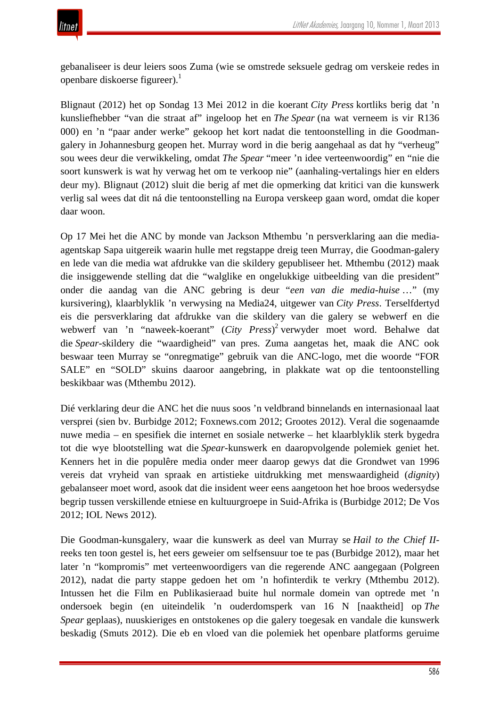gebanaliseer is deur leiers soos Zuma (wie se omstrede seksuele gedrag om verskeie redes in openbare diskoerse figureer).1

Blignaut (2012) het op Sondag 13 Mei 2012 in die koerant *City Press* kortliks berig dat 'n kunsliefhebber "van die straat af" ingeloop het en *The Spear* (na wat verneem is vir R136 000) en 'n "paar ander werke" gekoop het kort nadat die tentoonstelling in die Goodmangalery in Johannesburg geopen het. Murray word in die berig aangehaal as dat hy "verheug" sou wees deur die verwikkeling, omdat *The Spear* "meer 'n idee verteenwoordig" en "nie die soort kunswerk is wat hy verwag het om te verkoop nie" (aanhaling-vertalings hier en elders deur my). Blignaut (2012) sluit die berig af met die opmerking dat kritici van die kunswerk verlig sal wees dat dit ná die tentoonstelling na Europa verskeep gaan word, omdat die koper daar woon.

Op 17 Mei het die ANC by monde van Jackson Mthembu 'n persverklaring aan die mediaagentskap Sapa uitgereik waarin hulle met regstappe dreig teen Murray, die Goodman-galery en lede van die media wat afdrukke van die skildery gepubliseer het. Mthembu (2012) maak die insiggewende stelling dat die "walglike en ongelukkige uitbeelding van die president" onder die aandag van die ANC gebring is deur "*een van die media-huise* …" (my kursivering), klaarblyklik 'n verwysing na Media24, uitgewer van *City Press*. Terselfdertyd eis die persverklaring dat afdrukke van die skildery van die galery se webwerf en die webwerf van 'n "naweek-koerant" (*City Press*) <sup>2</sup> verwyder moet word. Behalwe dat die *Spear*-skildery die "waardigheid" van pres. Zuma aangetas het, maak die ANC ook beswaar teen Murray se "onregmatige" gebruik van die ANC-logo, met die woorde "FOR SALE" en "SOLD" skuins daaroor aangebring, in plakkate wat op die tentoonstelling beskikbaar was (Mthembu 2012).

Dié verklaring deur die ANC het die nuus soos 'n veldbrand binnelands en internasionaal laat versprei (sien bv. Burbidge 2012; Foxnews.com 2012; Grootes 2012). Veral die sogenaamde nuwe media – en spesifiek die internet en sosiale netwerke – het klaarblyklik sterk bygedra tot die wye blootstelling wat die *Spear*-kunswerk en daaropvolgende polemiek geniet het. Kenners het in die populêre media onder meer daarop gewys dat die Grondwet van 1996 vereis dat vryheid van spraak en artistieke uitdrukking met menswaardigheid (*dignity*) gebalanseer moet word, asook dat die insident weer eens aangetoon het hoe broos wedersydse begrip tussen verskillende etniese en kultuurgroepe in Suid-Afrika is (Burbidge 2012; De Vos 2012; IOL News 2012).

Die Goodman-kunsgalery, waar die kunswerk as deel van Murray se *Hail to the Chief II*reeks ten toon gestel is, het eers geweier om selfsensuur toe te pas (Burbidge 2012), maar het later 'n "kompromis" met verteenwoordigers van die regerende ANC aangegaan (Polgreen 2012), nadat die party stappe gedoen het om 'n hofinterdik te verkry (Mthembu 2012). Intussen het die Film en Publikasieraad buite hul normale domein van optrede met 'n ondersoek begin (en uiteindelik 'n ouderdomsperk van 16 N [naaktheid] op *The Spear* geplaas), nuuskieriges en ontstokenes op die galery toegesak en vandale die kunswerk beskadig (Smuts 2012). Die eb en vloed van die polemiek het openbare platforms geruime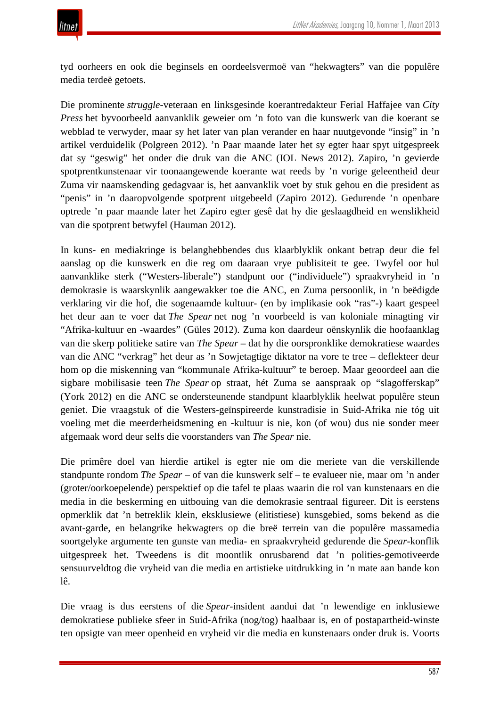tyd oorheers en ook die beginsels en oordeelsvermoë van "hekwagters" van die populêre media terdeë getoets.

Die prominente *struggle*-veteraan en linksgesinde koerantredakteur Ferial Haffajee van *City Press* het byvoorbeeld aanvanklik geweier om 'n foto van die kunswerk van die koerant se webblad te verwyder, maar sy het later van plan verander en haar nuutgevonde "insig" in 'n artikel verduidelik (Polgreen 2012). 'n Paar maande later het sy egter haar spyt uitgespreek dat sy "geswig" het onder die druk van die ANC (IOL News 2012). Zapiro, 'n gevierde spotprentkunstenaar vir toonaangewende koerante wat reeds by 'n vorige geleentheid deur Zuma vir naamskending gedagvaar is, het aanvanklik voet by stuk gehou en die president as "penis" in 'n daaropvolgende spotprent uitgebeeld (Zapiro 2012). Gedurende 'n openbare optrede 'n paar maande later het Zapiro egter gesê dat hy die geslaagdheid en wenslikheid van die spotprent betwyfel (Hauman 2012).

In kuns- en mediakringe is belanghebbendes dus klaarblyklik onkant betrap deur die fel aanslag op die kunswerk en die reg om daaraan vrye publisiteit te gee. Twyfel oor hul aanvanklike sterk ("Westers-liberale") standpunt oor ("individuele") spraakvryheid in 'n demokrasie is waarskynlik aangewakker toe die ANC, en Zuma persoonlik, in 'n beëdigde verklaring vir die hof, die sogenaamde kultuur- (en by implikasie ook "ras"-) kaart gespeel het deur aan te voer dat *The Spear* net nog 'n voorbeeld is van koloniale minagting vir "Afrika-kultuur en -waardes" (Güles 2012). Zuma kon daardeur oënskynlik die hoofaanklag van die skerp politieke satire van *The Spear* – dat hy die oorspronklike demokratiese waardes van die ANC "verkrag" het deur as 'n Sowjetagtige diktator na vore te tree – deflekteer deur hom op die miskenning van "kommunale Afrika-kultuur" te beroep. Maar geoordeel aan die sigbare mobilisasie teen *The Spear* op straat, hét Zuma se aanspraak op "slagofferskap" (York 2012) en die ANC se ondersteunende standpunt klaarblyklik heelwat populêre steun geniet. Die vraagstuk of die Westers-geïnspireerde kunstradisie in Suid-Afrika nie tóg uit voeling met die meerderheidsmening en -kultuur is nie, kon (of wou) dus nie sonder meer afgemaak word deur selfs die voorstanders van *The Spear* nie.

Die primêre doel van hierdie artikel is egter nie om die meriete van die verskillende standpunte rondom *The Spear –* of van die kunswerk self *–* te evalueer nie, maar om 'n ander (groter/oorkoepelende) perspektief op die tafel te plaas waarin die rol van kunstenaars en die media in die beskerming en uitbouing van die demokrasie sentraal figureer. Dit is eerstens opmerklik dat 'n betreklik klein, eksklusiewe (elitistiese) kunsgebied, soms bekend as die avant-garde, en belangrike hekwagters op die breë terrein van die populêre massamedia soortgelyke argumente ten gunste van media- en spraakvryheid gedurende die *Spear*-konflik uitgespreek het. Tweedens is dit moontlik onrusbarend dat 'n polities-gemotiveerde sensuurveldtog die vryheid van die media en artistieke uitdrukking in 'n mate aan bande kon lê.

Die vraag is dus eerstens of die *Spear*-insident aandui dat 'n lewendige en inklusiewe demokratiese publieke sfeer in Suid-Afrika (nog/tog) haalbaar is, en of postapartheid-winste ten opsigte van meer openheid en vryheid vir die media en kunstenaars onder druk is. Voorts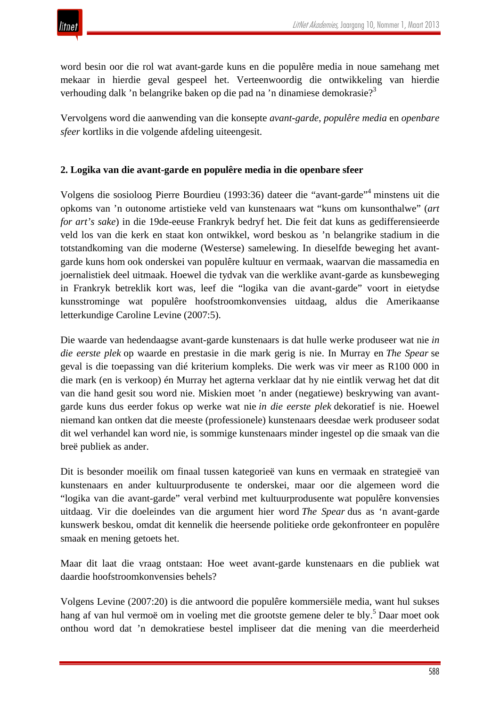word besin oor die rol wat avant-garde kuns en die populêre media in noue samehang met mekaar in hierdie geval gespeel het. Verteenwoordig die ontwikkeling van hierdie verhouding dalk 'n belangrike baken op die pad na 'n dinamiese demokrasie?<sup>3</sup>

Vervolgens word die aanwending van die konsepte *avant-garde*, *populêre media* en *openbare sfeer* kortliks in die volgende afdeling uiteengesit.

## **2. Logika van die avant-garde en populêre media in die openbare sfeer**

Volgens die sosioloog Pierre Bourdieu (1993:36) dateer die "avant-garde"<sup>4</sup> minstens uit die opkoms van 'n outonome artistieke veld van kunstenaars wat "kuns om kunsonthalwe" (*art for art's sake*) in die 19de-eeuse Frankryk bedryf het. Die feit dat kuns as gedifferensieerde veld los van die kerk en staat kon ontwikkel, word beskou as 'n belangrike stadium in die totstandkoming van die moderne (Westerse) samelewing. In dieselfde beweging het avantgarde kuns hom ook onderskei van populêre kultuur en vermaak, waarvan die massamedia en joernalistiek deel uitmaak. Hoewel die tydvak van die werklike avant-garde as kunsbeweging in Frankryk betreklik kort was, leef die "logika van die avant-garde" voort in eietydse kunsstrominge wat populêre hoofstroomkonvensies uitdaag, aldus die Amerikaanse letterkundige Caroline Levine (2007:5).

Die waarde van hedendaagse avant-garde kunstenaars is dat hulle werke produseer wat nie *in die eerste plek* op waarde en prestasie in die mark gerig is nie. In Murray en *The Spear* se geval is die toepassing van dié kriterium kompleks. Die werk was vir meer as R100 000 in die mark (en is verkoop) én Murray het agterna verklaar dat hy nie eintlik verwag het dat dit van die hand gesit sou word nie. Miskien moet 'n ander (negatiewe) beskrywing van avantgarde kuns dus eerder fokus op werke wat nie *in die eerste plek* dekoratief is nie. Hoewel niemand kan ontken dat die meeste (professionele) kunstenaars deesdae werk produseer sodat dit wel verhandel kan word nie, is sommige kunstenaars minder ingestel op die smaak van die breë publiek as ander.

Dit is besonder moeilik om finaal tussen kategorieë van kuns en vermaak en strategieë van kunstenaars en ander kultuurprodusente te onderskei, maar oor die algemeen word die "logika van die avant-garde" veral verbind met kultuurprodusente wat populêre konvensies uitdaag. Vir die doeleindes van die argument hier word *The Spear* dus as 'n avant-garde kunswerk beskou, omdat dit kennelik die heersende politieke orde gekonfronteer en populêre smaak en mening getoets het.

Maar dit laat die vraag ontstaan: Hoe weet avant-garde kunstenaars en die publiek wat daardie hoofstroomkonvensies behels?

Volgens Levine (2007:20) is die antwoord die populêre kommersiële media, want hul sukses hang af van hul vermoë om in voeling met die grootste gemene deler te bly.<sup>5</sup> Daar moet ook onthou word dat 'n demokratiese bestel impliseer dat die mening van die meerderheid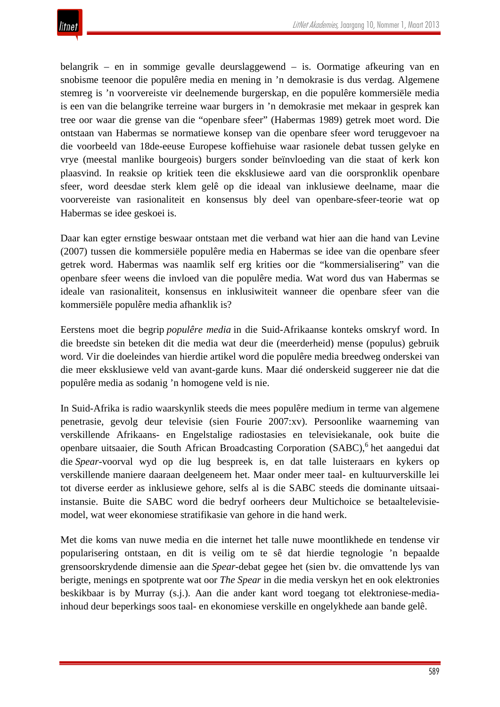belangrik – en in sommige gevalle deurslaggewend – is. Oormatige afkeuring van en snobisme teenoor die populêre media en mening in 'n demokrasie is dus verdag. Algemene stemreg is 'n voorvereiste vir deelnemende burgerskap, en die populêre kommersiële media is een van die belangrike terreine waar burgers in 'n demokrasie met mekaar in gesprek kan tree oor waar die grense van die "openbare sfeer" (Habermas 1989) getrek moet word. Die ontstaan van Habermas se normatiewe konsep van die openbare sfeer word teruggevoer na die voorbeeld van 18de-eeuse Europese koffiehuise waar rasionele debat tussen gelyke en vrye (meestal manlike bourgeois) burgers sonder beïnvloeding van die staat of kerk kon plaasvind. In reaksie op kritiek teen die eksklusiewe aard van die oorspronklik openbare sfeer, word deesdae sterk klem gelê op die ideaal van inklusiewe deelname, maar die voorvereiste van rasionaliteit en konsensus bly deel van openbare-sfeer-teorie wat op Habermas se idee geskoei is.

Daar kan egter ernstige beswaar ontstaan met die verband wat hier aan die hand van Levine (2007) tussen die kommersiële populêre media en Habermas se idee van die openbare sfeer getrek word. Habermas was naamlik self erg krities oor die "kommersialisering" van die openbare sfeer weens die invloed van die populêre media. Wat word dus van Habermas se ideale van rasionaliteit, konsensus en inklusiwiteit wanneer die openbare sfeer van die kommersiële populêre media afhanklik is?

Eerstens moet die begrip *populêre media* in die Suid-Afrikaanse konteks omskryf word. In die breedste sin beteken dit die media wat deur die (meerderheid) mense (populus) gebruik word. Vir die doeleindes van hierdie artikel word die populêre media breedweg onderskei van die meer eksklusiewe veld van avant-garde kuns. Maar dié onderskeid suggereer nie dat die populêre media as sodanig 'n homogene veld is nie.

In Suid-Afrika is radio waarskynlik steeds die mees populêre medium in terme van algemene penetrasie, gevolg deur televisie (sien Fourie 2007:xv). Persoonlike waarneming van verskillende Afrikaans- en Engelstalige radiostasies en televisiekanale, ook buite die openbare uitsaaier, die South African Broadcasting Corporation (SABC),<sup>6</sup> het aangedui dat die *Spear*-voorval wyd op die lug bespreek is, en dat talle luisteraars en kykers op verskillende maniere daaraan deelgeneem het. Maar onder meer taal- en kultuurverskille lei tot diverse eerder as inklusiewe gehore, selfs al is die SABC steeds die dominante uitsaaiinstansie. Buite die SABC word die bedryf oorheers deur Multichoice se betaaltelevisiemodel, wat weer ekonomiese stratifikasie van gehore in die hand werk.

Met die koms van nuwe media en die internet het talle nuwe moontlikhede en tendense vir popularisering ontstaan, en dit is veilig om te sê dat hierdie tegnologie 'n bepaalde grensoorskrydende dimensie aan die *Spear*-debat gegee het (sien bv. die omvattende lys van berigte, menings en spotprente wat oor *The Spear* in die media verskyn het en ook elektronies beskikbaar is by Murray (s.j.). Aan die ander kant word toegang tot elektroniese-mediainhoud deur beperkings soos taal- en ekonomiese verskille en ongelykhede aan bande gelê.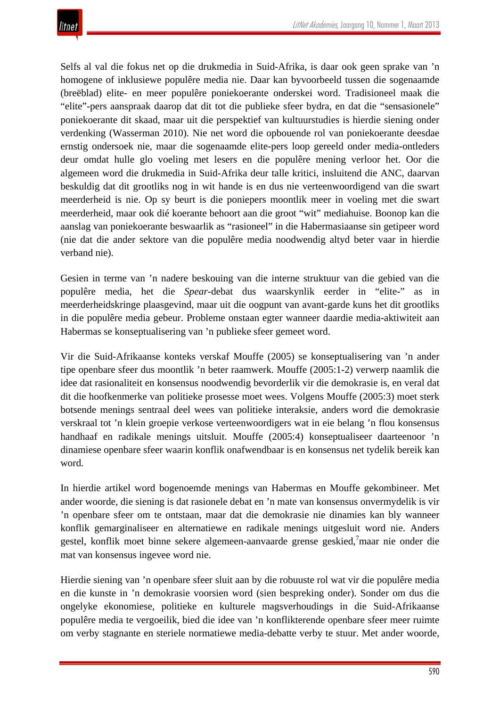Selfs al val die fokus net op die drukmedia in Suid-Afrika, is daar ook geen sprake van 'n homogene of inklusiewe populêre media nie. Daar kan byvoorbeeld tussen die sogenaamde (breëblad) elite- en meer populêre poniekoerante onderskei word. Tradisioneel maak die "elite"-pers aanspraak daarop dat dit tot die publieke sfeer bydra, en dat die "sensasionele" poniekoerante dit skaad, maar uit die perspektief van kultuurstudies is hierdie siening onder verdenking (Wasserman 2010). Nie net word die opbouende rol van poniekoerante deesdae ernstig ondersoek nie, maar die sogenaamde elite-pers loop gereeld onder media-ontleders deur omdat hulle glo voeling met lesers en die populêre mening verloor het. Oor die algemeen word die drukmedia in Suid-Afrika deur talle kritici, insluitend die ANC, daarvan beskuldig dat dit grootliks nog in wit hande is en dus nie verteenwoordigend van die swart meerderheid is nie. Op sy beurt is die poniepers moontlik meer in voeling met die swart meerderheid, maar ook dié koerante behoort aan die groot "wit" mediahuise. Boonop kan die aanslag van poniekoerante beswaarlik as "rasioneel" in die Habermasiaanse sin getipeer word (nie dat die ander sektore van die populêre media noodwendig altyd beter vaar in hierdie verband nie).

Gesien in terme van 'n nadere beskouing van die interne struktuur van die gebied van die populêre media, het die *Spear*-debat dus waarskynlik eerder in "elite-" as in meerderheidskringe plaasgevind, maar uit die oogpunt van avant-garde kuns het dit grootliks in die populêre media gebeur. Probleme onstaan egter wanneer daardie media-aktiwiteit aan Habermas se konseptualisering van 'n publieke sfeer gemeet word.

Vir die Suid-Afrikaanse konteks verskaf Mouffe (2005) se konseptualisering van 'n ander tipe openbare sfeer dus moontlik 'n beter raamwerk. Mouffe (2005:1-2) verwerp naamlik die idee dat rasionaliteit en konsensus noodwendig bevorderlik vir die demokrasie is, en veral dat dit die hoofkenmerke van politieke prosesse moet wees. Volgens Mouffe (2005:3) moet sterk botsende menings sentraal deel wees van politieke interaksie, anders word die demokrasie verskraal tot 'n klein groepie verkose verteenwoordigers wat in eie belang 'n flou konsensus handhaaf en radikale menings uitsluit. Mouffe (2005:4) konseptualiseer daarteenoor 'n dinamiese openbare sfeer waarin konflik onafwendbaar is en konsensus net tydelik bereik kan word.

In hierdie artikel word bogenoemde menings van Habermas en Mouffe gekombineer. Met ander woorde, die siening is dat rasionele debat en 'n mate van konsensus onvermydelik is vir 'n openbare sfeer om te ontstaan, maar dat die demokrasie nie dinamies kan bly wanneer konflik gemarginaliseer en alternatiewe en radikale menings uitgesluit word nie. Anders gestel, konflik moet binne sekere algemeen-aanvaarde grense geskied,<sup>7</sup>maar nie onder die mat van konsensus ingevee word nie.

Hierdie siening van 'n openbare sfeer sluit aan by die robuuste rol wat vir die populêre media en die kunste in 'n demokrasie voorsien word (sien bespreking onder). Sonder om dus die ongelyke ekonomiese, politieke en kulturele magsverhoudings in die Suid-Afrikaanse populêre media te vergoeilik, bied die idee van 'n konflikterende openbare sfeer meer ruimte om verby stagnante en steriele normatiewe media-debatte verby te stuur. Met ander woorde,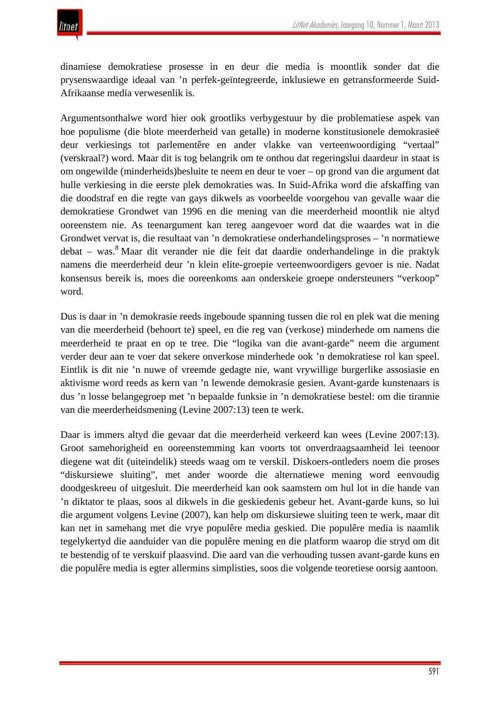dinamiese demokratiese prosesse in en deur die media is moontlik sonder dat die prysenswaardige ideaal van 'n perfek-geïntegreerde, inklusiewe en getransformeerde Suid-Afrikaanse media verwesenlik is.

Argumentsonthalwe word hier ook grootliks verbygestuur by die problematiese aspek van hoe populisme (die blote meerderheid van getalle) in moderne konstitusionele demokrasieë deur verkiesings tot parlementêre en ander vlakke van verteenwoordiging "vertaal" (verskraal?) word. Maar dit is tog belangrik om te onthou dat regeringslui daardeur in staat is om ongewilde (minderheids)besluite te neem en deur te voer – op grond van die argument dat hulle verkiesing in die eerste plek demokraties was. In Suid-Afrika word die afskaffing van die doodstraf en die regte van gays dikwels as voorbeelde voorgehou van gevalle waar die demokratiese Grondwet van 1996 en die mening van die meerderheid moontlik nie altyd ooreenstem nie. As teenargument kan tereg aangevoer word dat die waardes wat in die Grondwet vervat is, die resultaat van 'n demokratiese onderhandelingsproses – 'n normatiewe debat – was.<sup>8</sup> Maar dit verander nie die feit dat daardie onderhandelinge in die praktyk namens die meerderheid deur 'n klein elite-groepie verteenwoordigers gevoer is nie. Nadat konsensus bereik is, moes die ooreenkoms aan onderskeie groepe ondersteuners "verkoop" word.

Dus is daar in 'n demokrasie reeds ingeboude spanning tussen die rol en plek wat die mening van die meerderheid (behoort te) speel, en die reg van (verkose) minderhede om namens die meerderheid te praat en op te tree. Die "logika van die avant-garde" neem die argument verder deur aan te voer dat sekere onverkose minderhede ook 'n demokratiese rol kan speel. Eintlik is dit nie 'n nuwe of vreemde gedagte nie, want vrywillige burgerlike assosiasie en aktivisme word reeds as kern van 'n lewende demokrasie gesien. Avant-garde kunstenaars is dus 'n losse belangegroep met 'n bepaalde funksie in 'n demokratiese bestel: om die tirannie van die meerderheidsmening (Levine 2007:13) teen te werk.

Daar is immers altyd die gevaar dat die meerderheid verkeerd kan wees (Levine 2007:13). Groot samehorigheid en ooreenstemming kan voorts tot onverdraagsaamheid lei teenoor diegene wat dit (uiteindelik) steeds waag om te verskil. Diskoers-ontleders noem die proses "diskursiewe sluiting", met ander woorde die alternatiewe mening word eenvoudig doodgeskreeu of uitgesluit. Die meerderheid kan ook saamstem om hul lot in die hande van 'n diktator te plaas, soos al dikwels in die geskiedenis gebeur het. Avant-garde kuns, so lui die argument volgens Levine (2007), kan help om diskursiewe sluiting teen te werk, maar dit kan net in samehang met die vrye populêre media geskied. Die populêre media is naamlik tegelykertyd die aanduider van die populêre mening en die platform waarop die stryd om dit te bestendig of te verskuif plaasvind. Die aard van die verhouding tussen avant-garde kuns en die populêre media is egter allermins simplisties, soos die volgende teoretiese oorsig aantoon.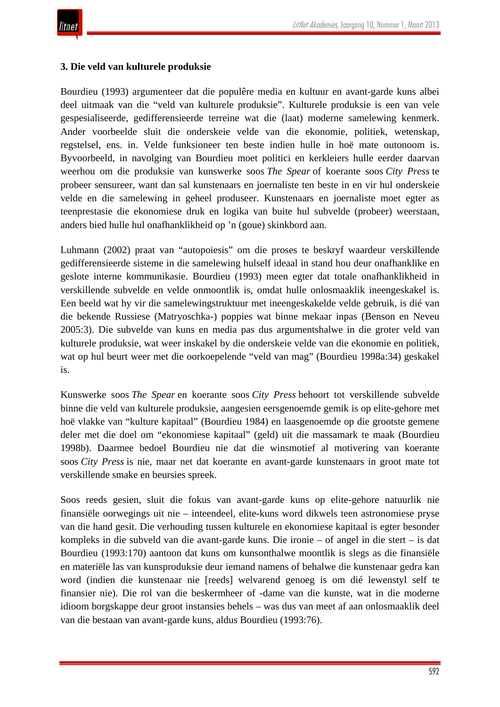### **3. Die veld van kulturele produksie**

Bourdieu (1993) argumenteer dat die populêre media en kultuur en avant-garde kuns albei deel uitmaak van die "veld van kulturele produksie". Kulturele produksie is een van vele gespesialiseerde, gedifferensieerde terreine wat die (laat) moderne samelewing kenmerk. Ander voorbeelde sluit die onderskeie velde van die ekonomie, politiek, wetenskap, regstelsel, ens. in. Velde funksioneer ten beste indien hulle in hoë mate outonoom is. Byvoorbeeld, in navolging van Bourdieu moet politici en kerkleiers hulle eerder daarvan weerhou om die produksie van kunswerke soos *The Spear* of koerante soos *City Press* te probeer sensureer, want dan sal kunstenaars en joernaliste ten beste in en vir hul onderskeie velde en die samelewing in geheel produseer. Kunstenaars en joernaliste moet egter as teenprestasie die ekonomiese druk en logika van buite hul subvelde (probeer) weerstaan, anders bied hulle hul onafhanklikheid op 'n (goue) skinkbord aan.

Luhmann (2002) praat van "autopoiesis" om die proses te beskryf waardeur verskillende gedifferensieerde sisteme in die samelewing hulself ideaal in stand hou deur onafhanklike en geslote interne kommunikasie. Bourdieu (1993) meen egter dat totale onafhanklikheid in verskillende subvelde en velde onmoontlik is, omdat hulle onlosmaaklik ineengeskakel is. Een beeld wat hy vir die samelewingstruktuur met ineengeskakelde velde gebruik, is dié van die bekende Russiese (Matryoschka-) poppies wat binne mekaar inpas (Benson en Neveu 2005:3). Die subvelde van kuns en media pas dus argumentshalwe in die groter veld van kulturele produksie, wat weer inskakel by die onderskeie velde van die ekonomie en politiek, wat op hul beurt weer met die oorkoepelende "veld van mag" (Bourdieu 1998a:34) geskakel is.

Kunswerke soos *The Spear* en koerante soos *City Press* behoort tot verskillende subvelde binne die veld van kulturele produksie, aangesien eersgenoemde gemik is op elite-gehore met hoë vlakke van "kulture kapitaal" (Bourdieu 1984) en laasgenoemde op die grootste gemene deler met die doel om "ekonomiese kapitaal" (geld) uit die massamark te maak (Bourdieu 1998b). Daarmee bedoel Bourdieu nie dat die winsmotief al motivering van koerante soos *City Press* is nie, maar net dat koerante en avant-garde kunstenaars in groot mate tot verskillende smake en beursies spreek.

Soos reeds gesien, sluit die fokus van avant-garde kuns op elite-gehore natuurlik nie finansiële oorwegings uit nie – inteendeel, elite-kuns word dikwels teen astronomiese pryse van die hand gesit. Die verhouding tussen kulturele en ekonomiese kapitaal is egter besonder kompleks in die subveld van die avant-garde kuns. Die ironie – of angel in die stert – is dat Bourdieu (1993:170) aantoon dat kuns om kunsonthalwe moontlik is slegs as die finansiële en materiële las van kunsproduksie deur iemand namens of behalwe die kunstenaar gedra kan word (indien die kunstenaar nie [reeds] welvarend genoeg is om dié lewenstyl self te finansier nie). Die rol van die beskermheer of -dame van die kunste, wat in die moderne idioom borgskappe deur groot instansies behels – was dus van meet af aan onlosmaaklik deel van die bestaan van avant-garde kuns, aldus Bourdieu (1993:76).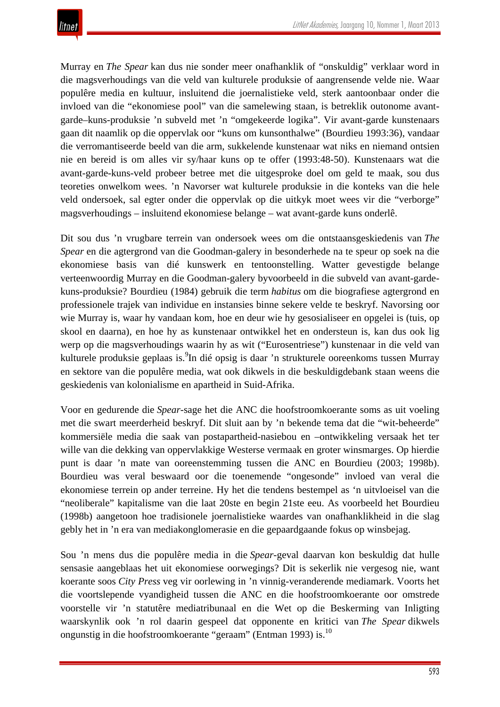Murray en *The Spear* kan dus nie sonder meer onafhanklik of "onskuldig" verklaar word in die magsverhoudings van die veld van kulturele produksie of aangrensende velde nie. Waar populêre media en kultuur, insluitend die joernalistieke veld, sterk aantoonbaar onder die invloed van die "ekonomiese pool" van die samelewing staan, is betreklik outonome avantgarde–kuns-produksie 'n subveld met 'n "omgekeerde logika". Vir avant-garde kunstenaars gaan dit naamlik op die oppervlak oor "kuns om kunsonthalwe" (Bourdieu 1993:36), vandaar die verromantiseerde beeld van die arm, sukkelende kunstenaar wat niks en niemand ontsien nie en bereid is om alles vir sy/haar kuns op te offer (1993:48-50). Kunstenaars wat die avant-garde-kuns-veld probeer betree met die uitgesproke doel om geld te maak, sou dus teoreties onwelkom wees. 'n Navorser wat kulturele produksie in die konteks van die hele veld ondersoek, sal egter onder die oppervlak op die uitkyk moet wees vir die "verborge" magsverhoudings – insluitend ekonomiese belange – wat avant-garde kuns onderlê.

Dit sou dus 'n vrugbare terrein van ondersoek wees om die ontstaansgeskiedenis van *The Spear* en die agtergrond van die Goodman-galery in besonderhede na te speur op soek na die ekonomiese basis van dié kunswerk en tentoonstelling. Watter gevestigde belange verteenwoordig Murray en die Goodman-galery byvoorbeeld in die subveld van avant-gardekuns-produksie? Bourdieu (1984) gebruik die term *habitus* om die biografiese agtergrond en professionele trajek van individue en instansies binne sekere velde te beskryf. Navorsing oor wie Murray is, waar hy vandaan kom, hoe en deur wie hy gesosialiseer en opgelei is (tuis, op skool en daarna), en hoe hy as kunstenaar ontwikkel het en ondersteun is, kan dus ook lig werp op die magsverhoudings waarin hy as wit ("Eurosentriese") kunstenaar in die veld van kulturele produksie geplaas is. <sup>9</sup>In dié opsig is daar 'n strukturele ooreenkoms tussen Murray en sektore van die populêre media, wat ook dikwels in die beskuldigdebank staan weens die geskiedenis van kolonialisme en apartheid in Suid-Afrika.

Voor en gedurende die *Spear*-sage het die ANC die hoofstroomkoerante soms as uit voeling met die swart meerderheid beskryf. Dit sluit aan by 'n bekende tema dat die "wit-beheerde" kommersiële media die saak van postapartheid-nasiebou en –ontwikkeling versaak het ter wille van die dekking van oppervlakkige Westerse vermaak en groter winsmarges. Op hierdie punt is daar 'n mate van ooreenstemming tussen die ANC en Bourdieu (2003; 1998b). Bourdieu was veral beswaard oor die toenemende "ongesonde" invloed van veral die ekonomiese terrein op ander terreine. Hy het die tendens bestempel as 'n uitvloeisel van die "neoliberale" kapitalisme van die laat 20ste en begin 21ste eeu. As voorbeeld het Bourdieu (1998b) aangetoon hoe tradisionele joernalistieke waardes van onafhanklikheid in die slag gebly het in 'n era van mediakonglomerasie en die gepaardgaande fokus op winsbejag.

Sou 'n mens dus die populêre media in die *Spear*-geval daarvan kon beskuldig dat hulle sensasie aangeblaas het uit ekonomiese oorwegings? Dit is sekerlik nie vergesog nie, want koerante soos *City Press* veg vir oorlewing in 'n vinnig-veranderende mediamark. Voorts het die voortslepende vyandigheid tussen die ANC en die hoofstroomkoerante oor omstrede voorstelle vir 'n statutêre mediatribunaal en die Wet op die Beskerming van Inligting waarskynlik ook 'n rol daarin gespeel dat opponente en kritici van *The Spear* dikwels ongunstig in die hoofstroomkoerante "geraam" (Entman 1993) is.10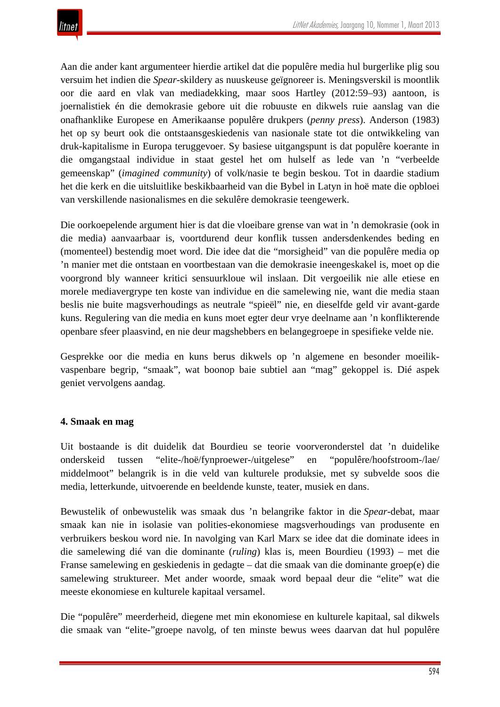Aan die ander kant argumenteer hierdie artikel dat die populêre media hul burgerlike plig sou versuim het indien die *Spear*-skildery as nuuskeuse geïgnoreer is. Meningsverskil is moontlik oor die aard en vlak van mediadekking, maar soos Hartley (2012:59–93) aantoon, is joernalistiek én die demokrasie gebore uit die robuuste en dikwels ruie aanslag van die onafhanklike Europese en Amerikaanse populêre drukpers (*penny press*). Anderson (1983) het op sy beurt ook die ontstaansgeskiedenis van nasionale state tot die ontwikkeling van druk-kapitalisme in Europa teruggevoer. Sy basiese uitgangspunt is dat populêre koerante in die omgangstaal individue in staat gestel het om hulself as lede van 'n "verbeelde gemeenskap" (*imagined community*) of volk/nasie te begin beskou. Tot in daardie stadium het die kerk en die uitsluitlike beskikbaarheid van die Bybel in Latyn in hoë mate die opbloei van verskillende nasionalismes en die sekulêre demokrasie teengewerk.

Die oorkoepelende argument hier is dat die vloeibare grense van wat in 'n demokrasie (ook in die media) aanvaarbaar is, voortdurend deur konflik tussen andersdenkendes beding en (momenteel) bestendig moet word. Die idee dat die "morsigheid" van die populêre media op 'n manier met die ontstaan en voortbestaan van die demokrasie ineengeskakel is, moet op die voorgrond bly wanneer kritici sensuurkloue wil inslaan. Dit vergoeilik nie alle etiese en morele mediavergrype ten koste van individue en die samelewing nie, want die media staan beslis nie buite magsverhoudings as neutrale "spieël" nie, en dieselfde geld vir avant-garde kuns. Regulering van die media en kuns moet egter deur vrye deelname aan 'n konflikterende openbare sfeer plaasvind, en nie deur magshebbers en belangegroepe in spesifieke velde nie.

Gesprekke oor die media en kuns berus dikwels op 'n algemene en besonder moeilikvaspenbare begrip, "smaak", wat boonop baie subtiel aan "mag" gekoppel is. Dié aspek geniet vervolgens aandag.

### **4. Smaak en mag**

Uit bostaande is dit duidelik dat Bourdieu se teorie voorveronderstel dat 'n duidelike onderskeid tussen "elite-/hoë/fynproewer-/uitgelese" en "populêre/hoofstroom-/lae/ middelmoot" belangrik is in die veld van kulturele produksie, met sy subvelde soos die media, letterkunde, uitvoerende en beeldende kunste, teater, musiek en dans.

Bewustelik of onbewustelik was smaak dus 'n belangrike faktor in die *Spear*-debat, maar smaak kan nie in isolasie van polities-ekonomiese magsverhoudings van produsente en verbruikers beskou word nie. In navolging van Karl Marx se idee dat die dominate idees in die samelewing dié van die dominante (*ruling*) klas is, meen Bourdieu (1993) – met die Franse samelewing en geskiedenis in gedagte – dat die smaak van die dominante groep(e) die samelewing struktureer. Met ander woorde, smaak word bepaal deur die "elite" wat die meeste ekonomiese en kulturele kapitaal versamel.

Die "populêre" meerderheid, diegene met min ekonomiese en kulturele kapitaal, sal dikwels die smaak van "elite-"groepe navolg, of ten minste bewus wees daarvan dat hul populêre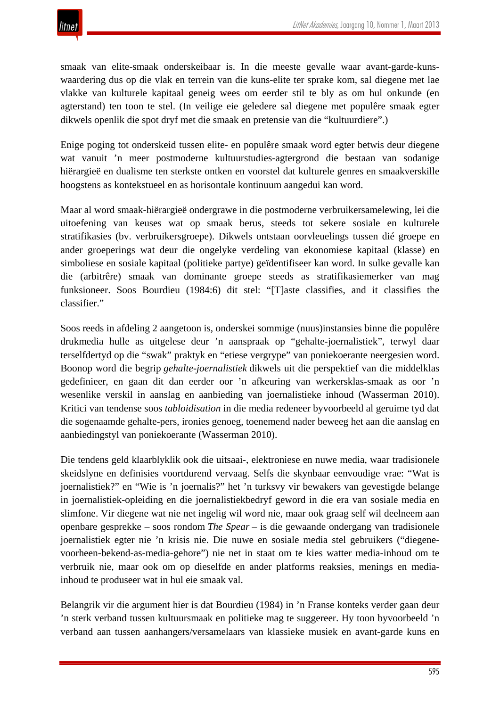

smaak van elite-smaak onderskeibaar is. In die meeste gevalle waar avant-garde-kunswaardering dus op die vlak en terrein van die kuns-elite ter sprake kom, sal diegene met lae vlakke van kulturele kapitaal geneig wees om eerder stil te bly as om hul onkunde (en agterstand) ten toon te stel. (In veilige eie geledere sal diegene met populêre smaak egter dikwels openlik die spot dryf met die smaak en pretensie van die "kultuurdiere".)

Enige poging tot onderskeid tussen elite- en populêre smaak word egter betwis deur diegene wat vanuit 'n meer postmoderne kultuurstudies-agtergrond die bestaan van sodanige hiërargieë en dualisme ten sterkste ontken en voorstel dat kulturele genres en smaakverskille hoogstens as kontekstueel en as horisontale kontinuum aangedui kan word.

Maar al word smaak-hiërargieë ondergrawe in die postmoderne verbruikersamelewing, lei die uitoefening van keuses wat op smaak berus, steeds tot sekere sosiale en kulturele stratifikasies (bv. verbruikersgroepe). Dikwels ontstaan oorvleuelings tussen dié groepe en ander groeperings wat deur die ongelyke verdeling van ekonomiese kapitaal (klasse) en simboliese en sosiale kapitaal (politieke partye) geïdentifiseer kan word. In sulke gevalle kan die (arbitrêre) smaak van dominante groepe steeds as stratifikasiemerker van mag funksioneer. Soos Bourdieu (1984:6) dit stel: "[T]aste classifies, and it classifies the classifier."

Soos reeds in afdeling 2 aangetoon is, onderskei sommige (nuus)instansies binne die populêre drukmedia hulle as uitgelese deur 'n aanspraak op "gehalte-joernalistiek", terwyl daar terselfdertyd op die "swak" praktyk en "etiese vergrype" van poniekoerante neergesien word. Boonop word die begrip *gehalte-joernalistiek* dikwels uit die perspektief van die middelklas gedefinieer, en gaan dit dan eerder oor 'n afkeuring van werkersklas-smaak as oor 'n wesenlike verskil in aanslag en aanbieding van joernalistieke inhoud (Wasserman 2010). Kritici van tendense soos *tabloidisation* in die media redeneer byvoorbeeld al geruime tyd dat die sogenaamde gehalte-pers, ironies genoeg, toenemend nader beweeg het aan die aanslag en aanbiedingstyl van poniekoerante (Wasserman 2010).

Die tendens geld klaarblyklik ook die uitsaai-, elektroniese en nuwe media, waar tradisionele skeidslyne en definisies voortdurend vervaag. Selfs die skynbaar eenvoudige vrae: "Wat is joernalistiek?" en "Wie is 'n joernalis?" het 'n turksvy vir bewakers van gevestigde belange in joernalistiek-opleiding en die joernalistiekbedryf geword in die era van sosiale media en slimfone. Vir diegene wat nie net ingelig wil word nie, maar ook graag self wil deelneem aan openbare gesprekke – soos rondom *The Spear* – is die gewaande ondergang van tradisionele joernalistiek egter nie 'n krisis nie. Die nuwe en sosiale media stel gebruikers ("diegenevoorheen-bekend-as-media-gehore") nie net in staat om te kies watter media-inhoud om te verbruik nie, maar ook om op dieselfde en ander platforms reaksies, menings en mediainhoud te produseer wat in hul eie smaak val.

Belangrik vir die argument hier is dat Bourdieu (1984) in 'n Franse konteks verder gaan deur 'n sterk verband tussen kultuursmaak en politieke mag te suggereer. Hy toon byvoorbeeld 'n verband aan tussen aanhangers/versamelaars van klassieke musiek en avant-garde kuns en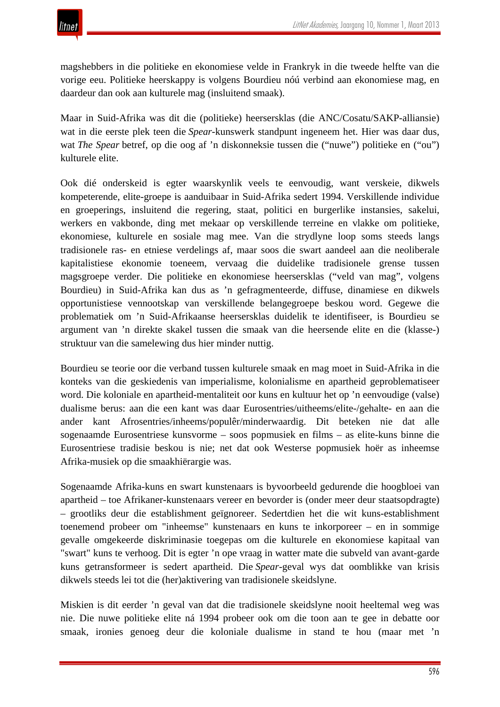

magshebbers in die politieke en ekonomiese velde in Frankryk in die tweede helfte van die vorige eeu. Politieke heerskappy is volgens Bourdieu nóú verbind aan ekonomiese mag, en daardeur dan ook aan kulturele mag (insluitend smaak).

Maar in Suid-Afrika was dit die (politieke) heersersklas (die ANC/Cosatu/SAKP-alliansie) wat in die eerste plek teen die *Spear*-kunswerk standpunt ingeneem het. Hier was daar dus, wat *The Spear* betref, op die oog af 'n diskonneksie tussen die ("nuwe") politieke en ("ou") kulturele elite.

Ook dié onderskeid is egter waarskynlik veels te eenvoudig, want verskeie, dikwels kompeterende, elite-groepe is aanduibaar in Suid-Afrika sedert 1994. Verskillende individue en groeperings, insluitend die regering, staat, politici en burgerlike instansies, sakelui, werkers en vakbonde, ding met mekaar op verskillende terreine en vlakke om politieke, ekonomiese, kulturele en sosiale mag mee. Van die strydlyne loop soms steeds langs tradisionele ras- en etniese verdelings af, maar soos die swart aandeel aan die neoliberale kapitalistiese ekonomie toeneem, vervaag die duidelike tradisionele grense tussen magsgroepe verder. Die politieke en ekonomiese heersersklas ("veld van mag", volgens Bourdieu) in Suid-Afrika kan dus as 'n gefragmenteerde, diffuse, dinamiese en dikwels opportunistiese vennootskap van verskillende belangegroepe beskou word. Gegewe die problematiek om 'n Suid-Afrikaanse heersersklas duidelik te identifiseer, is Bourdieu se argument van 'n direkte skakel tussen die smaak van die heersende elite en die (klasse-) struktuur van die samelewing dus hier minder nuttig.

Bourdieu se teorie oor die verband tussen kulturele smaak en mag moet in Suid-Afrika in die konteks van die geskiedenis van imperialisme, kolonialisme en apartheid geproblematiseer word. Die koloniale en apartheid-mentaliteit oor kuns en kultuur het op 'n eenvoudige (valse) dualisme berus: aan die een kant was daar Eurosentries/uitheems/elite-/gehalte- en aan die ander kant Afrosentries/inheems/populêr/minderwaardig. Dit beteken nie dat alle sogenaamde Eurosentriese kunsvorme – soos popmusiek en films – as elite-kuns binne die Eurosentriese tradisie beskou is nie; net dat ook Westerse popmusiek hoër as inheemse Afrika-musiek op die smaakhiërargie was.

Sogenaamde Afrika-kuns en swart kunstenaars is byvoorbeeld gedurende die hoogbloei van apartheid – toe Afrikaner-kunstenaars vereer en bevorder is (onder meer deur staatsopdragte) – grootliks deur die establishment geïgnoreer. Sedertdien het die wit kuns-establishment toenemend probeer om "inheemse" kunstenaars en kuns te inkorporeer – en in sommige gevalle omgekeerde diskriminasie toegepas om die kulturele en ekonomiese kapitaal van "swart" kuns te verhoog. Dit is egter 'n ope vraag in watter mate die subveld van avant-garde kuns getransformeer is sedert apartheid. Die *Spear*-geval wys dat oomblikke van krisis dikwels steeds lei tot die (her)aktivering van tradisionele skeidslyne.

Miskien is dit eerder 'n geval van dat die tradisionele skeidslyne nooit heeltemal weg was nie. Die nuwe politieke elite ná 1994 probeer ook om die toon aan te gee in debatte oor smaak, ironies genoeg deur die koloniale dualisme in stand te hou (maar met 'n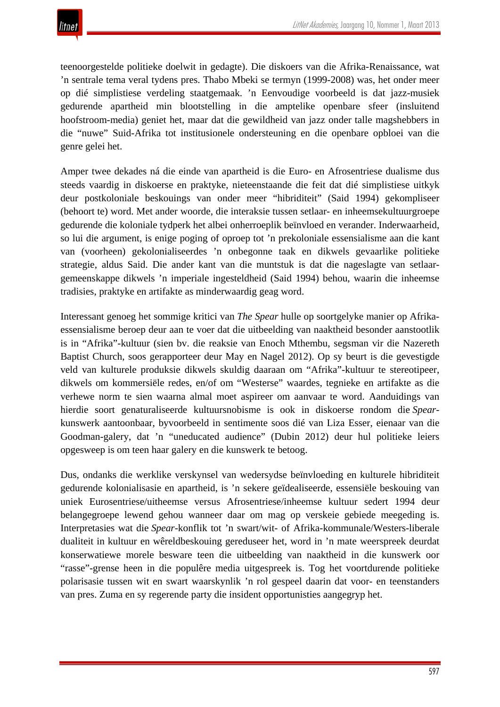teenoorgestelde politieke doelwit in gedagte). Die diskoers van die Afrika-Renaissance, wat 'n sentrale tema veral tydens pres. Thabo Mbeki se termyn (1999-2008) was, het onder meer op dié simplistiese verdeling staatgemaak. 'n Eenvoudige voorbeeld is dat jazz-musiek gedurende apartheid min blootstelling in die amptelike openbare sfeer (insluitend hoofstroom-media) geniet het, maar dat die gewildheid van jazz onder talle magshebbers in die "nuwe" Suid-Afrika tot institusionele ondersteuning en die openbare opbloei van die genre gelei het.

Amper twee dekades ná die einde van apartheid is die Euro- en Afrosentriese dualisme dus steeds vaardig in diskoerse en praktyke, nieteenstaande die feit dat dié simplistiese uitkyk deur postkoloniale beskouings van onder meer "hibriditeit" (Said 1994) gekompliseer (behoort te) word. Met ander woorde, die interaksie tussen setlaar- en inheemsekultuurgroepe gedurende die koloniale tydperk het albei onherroeplik beïnvloed en verander. Inderwaarheid, so lui die argument, is enige poging of oproep tot 'n prekoloniale essensialisme aan die kant van (voorheen) gekolonialiseerdes 'n onbegonne taak en dikwels gevaarlike politieke strategie, aldus Said. Die ander kant van die muntstuk is dat die nageslagte van setlaargemeenskappe dikwels 'n imperiale ingesteldheid (Said 1994) behou, waarin die inheemse tradisies, praktyke en artifakte as minderwaardig geag word.

Interessant genoeg het sommige kritici van *The Spear* hulle op soortgelyke manier op Afrikaessensialisme beroep deur aan te voer dat die uitbeelding van naaktheid besonder aanstootlik is in "Afrika"-kultuur (sien bv. die reaksie van Enoch Mthembu, segsman vir die Nazereth Baptist Church, soos gerapporteer deur May en Nagel 2012). Op sy beurt is die gevestigde veld van kulturele produksie dikwels skuldig daaraan om "Afrika"-kultuur te stereotipeer, dikwels om kommersiële redes, en/of om "Westerse" waardes, tegnieke en artifakte as die verhewe norm te sien waarna almal moet aspireer om aanvaar te word. Aanduidings van hierdie soort genaturaliseerde kultuursnobisme is ook in diskoerse rondom die *Spear*kunswerk aantoonbaar, byvoorbeeld in sentimente soos dié van Liza Esser, eienaar van die Goodman-galery, dat 'n "uneducated audience" (Dubin 2012) deur hul politieke leiers opgesweep is om teen haar galery en die kunswerk te betoog.

Dus, ondanks die werklike verskynsel van wedersydse beïnvloeding en kulturele hibriditeit gedurende kolonialisasie en apartheid, is 'n sekere geïdealiseerde, essensiële beskouing van uniek Eurosentriese/uitheemse versus Afrosentriese/inheemse kultuur sedert 1994 deur belangegroepe lewend gehou wanneer daar om mag op verskeie gebiede meegeding is. Interpretasies wat die *Spear*-konflik tot 'n swart/wit- of Afrika-kommunale/Westers-liberale dualiteit in kultuur en wêreldbeskouing gereduseer het, word in 'n mate weerspreek deurdat konserwatiewe morele besware teen die uitbeelding van naaktheid in die kunswerk oor "rasse"-grense heen in die populêre media uitgespreek is. Tog het voortdurende politieke polarisasie tussen wit en swart waarskynlik 'n rol gespeel daarin dat voor- en teenstanders van pres. Zuma en sy regerende party die insident opportunisties aangegryp het.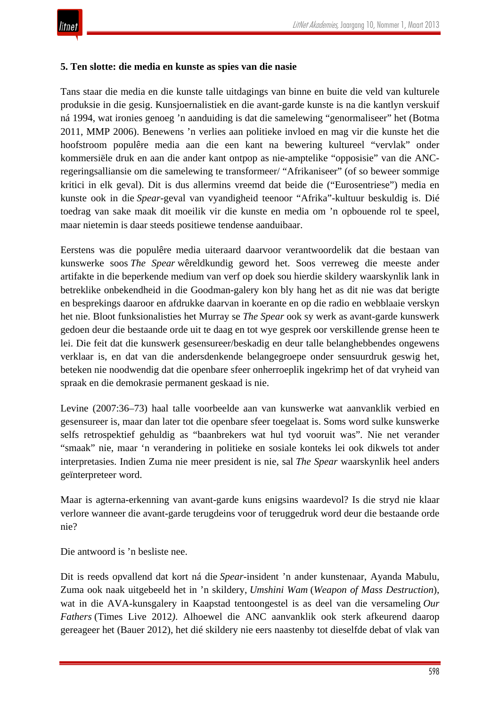### **5. Ten slotte: die media en kunste as spies van die nasie**

Tans staar die media en die kunste talle uitdagings van binne en buite die veld van kulturele produksie in die gesig. Kunsjoernalistiek en die avant-garde kunste is na die kantlyn verskuif ná 1994, wat ironies genoeg 'n aanduiding is dat die samelewing "genormaliseer" het (Botma 2011, MMP 2006). Benewens 'n verlies aan politieke invloed en mag vir die kunste het die hoofstroom populêre media aan die een kant na bewering kultureel "vervlak" onder kommersiële druk en aan die ander kant ontpop as nie-amptelike "opposisie" van die ANCregeringsalliansie om die samelewing te transformeer/ "Afrikaniseer" (of so beweer sommige kritici in elk geval). Dit is dus allermins vreemd dat beide die ("Eurosentriese") media en kunste ook in die *Spear*-geval van vyandigheid teenoor "Afrika"-kultuur beskuldig is. Dié toedrag van sake maak dit moeilik vir die kunste en media om 'n opbouende rol te speel, maar nietemin is daar steeds positiewe tendense aanduibaar.

Eerstens was die populêre media uiteraard daarvoor verantwoordelik dat die bestaan van kunswerke soos *The Spear* wêreldkundig geword het. Soos verreweg die meeste ander artifakte in die beperkende medium van verf op doek sou hierdie skildery waarskynlik lank in betreklike onbekendheid in die Goodman-galery kon bly hang het as dit nie was dat berigte en besprekings daaroor en afdrukke daarvan in koerante en op die radio en webblaaie verskyn het nie. Bloot funksionalisties het Murray se *The Spear* ook sy werk as avant-garde kunswerk gedoen deur die bestaande orde uit te daag en tot wye gesprek oor verskillende grense heen te lei. Die feit dat die kunswerk gesensureer/beskadig en deur talle belanghebbendes ongewens verklaar is, en dat van die andersdenkende belangegroepe onder sensuurdruk geswig het, beteken nie noodwendig dat die openbare sfeer onherroeplik ingekrimp het of dat vryheid van spraak en die demokrasie permanent geskaad is nie.

Levine (2007:36–73) haal talle voorbeelde aan van kunswerke wat aanvanklik verbied en gesensureer is, maar dan later tot die openbare sfeer toegelaat is. Soms word sulke kunswerke selfs retrospektief gehuldig as "baanbrekers wat hul tyd vooruit was". Nie net verander "smaak" nie, maar 'n verandering in politieke en sosiale konteks lei ook dikwels tot ander interpretasies. Indien Zuma nie meer president is nie, sal *The Spear* waarskynlik heel anders geïnterpreteer word.

Maar is agterna-erkenning van avant-garde kuns enigsins waardevol? Is die stryd nie klaar verlore wanneer die avant-garde terugdeins voor of teruggedruk word deur die bestaande orde nie?

Die antwoord is 'n besliste nee.

Dit is reeds opvallend dat kort ná die *Spear*-insident 'n ander kunstenaar, Ayanda Mabulu, Zuma ook naak uitgebeeld het in 'n skildery, *Umshini Wam* (*Weapon of Mass Destruction*), wat in die AVA-kunsgalery in Kaapstad tentoongestel is as deel van die versameling *Our Fathers* (Times Live 2012*)*. Alhoewel die ANC aanvanklik ook sterk afkeurend daarop gereageer het (Bauer 2012), het dié skildery nie eers naastenby tot dieselfde debat of vlak van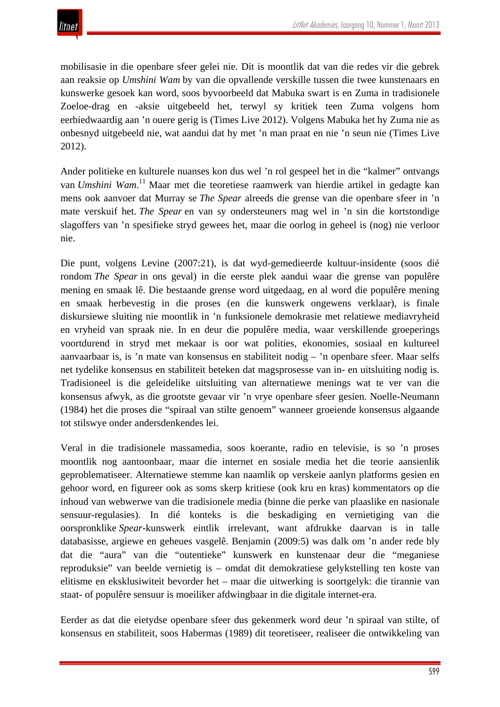mobilisasie in die openbare sfeer gelei nie. Dit is moontlik dat van die redes vir die gebrek aan reaksie op *Umshini Wam* by van die opvallende verskille tussen die twee kunstenaars en kunswerke gesoek kan word, soos byvoorbeeld dat Mabuka swart is en Zuma in tradisionele Zoeloe-drag en -aksie uitgebeeld het, terwyl sy kritiek teen Zuma volgens hom eerbiedwaardig aan 'n ouere gerig is (Times Live 2012). Volgens Mabuka het hy Zuma nie as onbesnyd uitgebeeld nie, wat aandui dat hy met 'n man praat en nie 'n seun nie (Times Live 2012).

Ander politieke en kulturele nuanses kon dus wel 'n rol gespeel het in die "kalmer" ontvangs van *Umshini Wam*. <sup>11</sup> Maar met die teoretiese raamwerk van hierdie artikel in gedagte kan mens ook aanvoer dat Murray se *The Spear* alreeds die grense van die openbare sfeer in 'n mate verskuif het. *The Spear* en van sy ondersteuners mag wel in 'n sin die kortstondige slagoffers van 'n spesifieke stryd gewees het, maar die oorlog in geheel is (nog) nie verloor nie.

Die punt, volgens Levine (2007:21), is dat wyd-gemedieerde kultuur-insidente (soos dié rondom *The Spear* in ons geval) in die eerste plek aandui waar die grense van populêre mening en smaak lê. Die bestaande grense word uitgedaag, en al word die populêre mening en smaak herbevestig in die proses (en die kunswerk ongewens verklaar), is finale diskursiewe sluiting nie moontlik in 'n funksionele demokrasie met relatiewe mediavryheid en vryheid van spraak nie. In en deur die populêre media, waar verskillende groeperings voortdurend in stryd met mekaar is oor wat polities, ekonomies, sosiaal en kultureel aanvaarbaar is, is 'n mate van konsensus en stabiliteit nodig – 'n openbare sfeer. Maar selfs net tydelike konsensus en stabiliteit beteken dat magsprosesse van in- en uitsluiting nodig is. Tradisioneel is die geleidelike uitsluiting van alternatiewe menings wat te ver van die konsensus afwyk, as die grootste gevaar vir 'n vrye openbare sfeer gesien. Noelle-Neumann (1984) het die proses die "spiraal van stilte genoem" wanneer groeiende konsensus algaande tot stilswye onder andersdenkendes lei.

Veral in die tradisionele massamedia, soos koerante, radio en televisie, is so 'n proses moontlik nog aantoonbaar, maar die internet en sosiale media het die teorie aansienlik geproblematiseer. Alternatiewe stemme kan naamlik op verskeie aanlyn platforms gesien en gehoor word, en figureer ook as soms skerp kritiese (ook kru en kras) kommentators op die inhoud van webwerwe van die tradisionele media (binne die perke van plaaslike en nasionale sensuur-regulasies). In dié konteks is die beskadiging en vernietiging van die oorspronklike *Spear*-kunswerk eintlik irrelevant, want afdrukke daarvan is in talle databasisse, argiewe en geheues vasgelê. Benjamin (2009:5) was dalk om 'n ander rede bly dat die "aura" van die "outentieke" kunswerk en kunstenaar deur die "meganiese reproduksie" van beelde vernietig is – omdat dit demokratiese gelykstelling ten koste van elitisme en eksklusiwiteit bevorder het – maar die uitwerking is soortgelyk: die tirannie van staat- of populêre sensuur is moeiliker afdwingbaar in die digitale internet-era.

Eerder as dat die eietydse openbare sfeer dus gekenmerk word deur 'n spiraal van stilte, of konsensus en stabiliteit, soos Habermas (1989) dit teoretiseer, realiseer die ontwikkeling van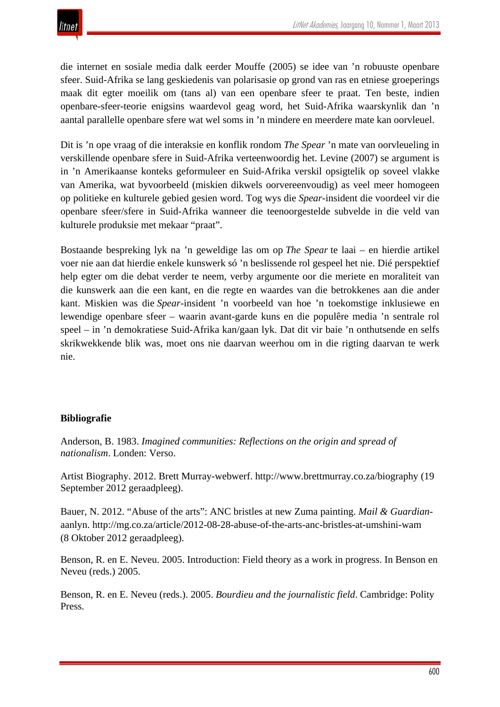

die internet en sosiale media dalk eerder Mouffe (2005) se idee van 'n robuuste openbare sfeer. Suid-Afrika se lang geskiedenis van polarisasie op grond van ras en etniese groeperings maak dit egter moeilik om (tans al) van een openbare sfeer te praat. Ten beste, indien openbare-sfeer-teorie enigsins waardevol geag word, het Suid-Afrika waarskynlik dan 'n aantal parallelle openbare sfere wat wel soms in 'n mindere en meerdere mate kan oorvleuel.

Dit is 'n ope vraag of die interaksie en konflik rondom *The Spear* 'n mate van oorvleueling in verskillende openbare sfere in Suid-Afrika verteenwoordig het. Levine (2007) se argument is in 'n Amerikaanse konteks geformuleer en Suid-Afrika verskil opsigtelik op soveel vlakke van Amerika, wat byvoorbeeld (miskien dikwels oorvereenvoudig) as veel meer homogeen op politieke en kulturele gebied gesien word. Tog wys die *Spear*-insident die voordeel vir die openbare sfeer/sfere in Suid-Afrika wanneer die teenoorgestelde subvelde in die veld van kulturele produksie met mekaar "praat".

Bostaande bespreking lyk na 'n geweldige las om op *The Spear* te laai – en hierdie artikel voer nie aan dat hierdie enkele kunswerk só 'n beslissende rol gespeel het nie. Dié perspektief help egter om die debat verder te neem, verby argumente oor die meriete en moraliteit van die kunswerk aan die een kant, en die regte en waardes van die betrokkenes aan die ander kant. Miskien was die *Spear*-insident 'n voorbeeld van hoe 'n toekomstige inklusiewe en lewendige openbare sfeer – waarin avant-garde kuns en die populêre media 'n sentrale rol speel – in 'n demokratiese Suid-Afrika kan/gaan lyk. Dat dit vir baie 'n onthutsende en selfs skrikwekkende blik was, moet ons nie daarvan weerhou om in die rigting daarvan te werk nie.

#### **Bibliografie**

Anderson, B. 1983. *Imagined communities: Reflections on the origin and spread of nationalism*. Londen: Verso.

Artist Biography. 2012. Brett Murray-webwerf. http://www.brettmurray.co.za/biography (19 September 2012 geraadpleeg).

Bauer, N. 2012. "Abuse of the arts": ANC bristles at new Zuma painting. *Mail & Guardian*aanlyn. http://mg.co.za/article/2012-08-28-abuse-of-the-arts-anc-bristles-at-umshini-wam (8 Oktober 2012 geraadpleeg).

Benson, R. en E. Neveu. 2005. Introduction: Field theory as a work in progress. In Benson en Neveu (reds.) 2005.

Benson, R. en E. Neveu (reds.). 2005. *Bourdieu and the journalistic field*. Cambridge: Polity Press.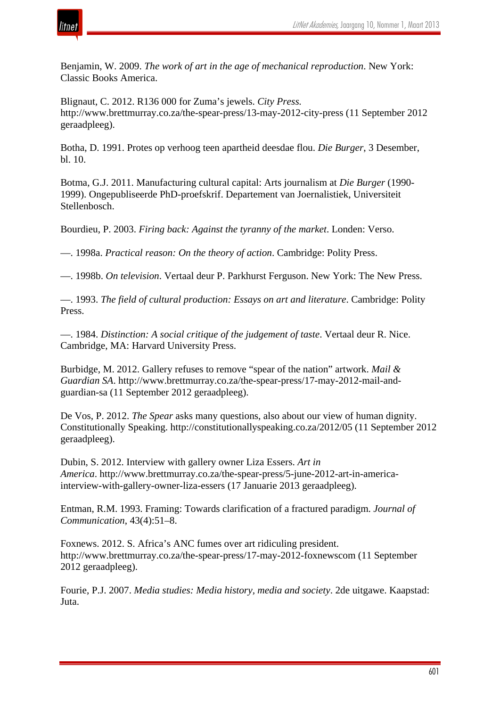

Benjamin, W. 2009. *The work of art in the age of mechanical reproduction*. New York: Classic Books America.

Blignaut, C. 2012. R136 000 for Zuma's jewels. *City Press.* http://www.brettmurray.co.za/the-spear-press/13-may-2012-city-press (11 September 2012 geraadpleeg).

Botha, D. 1991. Protes op verhoog teen apartheid deesdae flou. *Die Burger*, 3 Desember, bl. 10.

Botma, G.J. 2011. Manufacturing cultural capital: Arts journalism at *Die Burger* (1990- 1999). Ongepubliseerde PhD-proefskrif. Departement van Joernalistiek, Universiteit Stellenbosch.

Bourdieu, P. 2003. *Firing back: Against the tyranny of the market*. Londen: Verso.

—. 1998a. *Practical reason: On the theory of action*. Cambridge: Polity Press.

—. 1998b. *On television*. Vertaal deur P. Parkhurst Ferguson. New York: The New Press.

—. 1993. *The field of cultural production: Essays on art and literature*. Cambridge: Polity Press.

—. 1984. *Distinction: A social critique of the judgement of taste*. Vertaal deur R. Nice. Cambridge, MA: Harvard University Press.

Burbidge, M. 2012. Gallery refuses to remove "spear of the nation" artwork. *Mail & Guardian SA*. http://www.brettmurray.co.za/the-spear-press/17-may-2012-mail-andguardian-sa (11 September 2012 geraadpleeg).

De Vos, P. 2012. *The Spear* asks many questions, also about our view of human dignity. Constitutionally Speaking. http://constitutionallyspeaking.co.za/2012/05 (11 September 2012 geraadpleeg).

Dubin, S. 2012. Interview with gallery owner Liza Essers. *Art in America*. http://www.brettmurray.co.za/the-spear-press/5-june-2012-art-in-americainterview-with-gallery-owner-liza-essers (17 Januarie 2013 geraadpleeg).

Entman, R.M. 1993. Framing: Towards clarification of a fractured paradigm. *Journal of Communication*, 43(4):51–8.

Foxnews. 2012. S. Africa's ANC fumes over art ridiculing president. http://www.brettmurray.co.za/the-spear-press/17-may-2012-foxnewscom (11 September 2012 geraadpleeg).

Fourie, P.J. 2007. *Media studies: Media history, media and society*. 2de uitgawe. Kaapstad: Juta.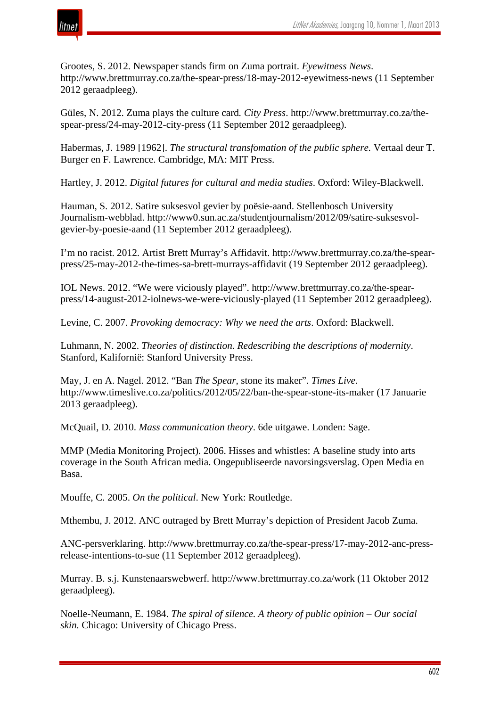

Grootes, S. 2012. Newspaper stands firm on Zuma portrait. *Eyewitness News*. http://www.brettmurray.co.za/the-spear-press/18-may-2012-eyewitness-news (11 September 2012 geraadpleeg).

Güles, N. 2012. Zuma plays the culture card*. City Press*. http://www.brettmurray.co.za/thespear-press/24-may-2012-city-press (11 September 2012 geraadpleeg).

Habermas, J. 1989 [1962]. *The structural transfomation of the public sphere.* Vertaal deur T. Burger en F. Lawrence. Cambridge, MA: MIT Press.

Hartley, J. 2012. *Digital futures for cultural and media studies*. Oxford: Wiley-Blackwell.

Hauman, S. 2012. Satire suksesvol gevier by poësie-aand. Stellenbosch University Journalism-webblad. http://www0.sun.ac.za/studentjournalism/2012/09/satire-suksesvolgevier-by-poesie-aand (11 September 2012 geraadpleeg).

I'm no racist. 2012. Artist Brett Murray's Affidavit. http://www.brettmurray.co.za/the-spearpress/25-may-2012-the-times-sa-brett-murrays-affidavit (19 September 2012 geraadpleeg).

IOL News. 2012. "We were viciously played". http://www.brettmurray.co.za/the-spearpress/14-august-2012-iolnews-we-were-viciously-played (11 September 2012 geraadpleeg).

Levine, C. 2007. *Provoking democracy: Why we need the arts*. Oxford: Blackwell.

Luhmann, N. 2002. *Theories of distinction. Redescribing the descriptions of modernity*. Stanford, Kalifornië: Stanford University Press.

May, J. en A. Nagel. 2012. "Ban *The Spear*, stone its maker". *Times Live*. http://www.timeslive.co.za/politics/2012/05/22/ban-the-spear-stone-its-maker (17 Januarie 2013 geraadpleeg).

McQuail, D. 2010. *Mass communication theory*. 6de uitgawe. Londen: Sage.

MMP (Media Monitoring Project). 2006. Hisses and whistles: A baseline study into arts coverage in the South African media. Ongepubliseerde navorsingsverslag. Open Media en Basa.

Mouffe, C. 2005. *On the political*. New York: Routledge.

Mthembu, J. 2012. ANC outraged by Brett Murray's depiction of President Jacob Zuma.

ANC-persverklaring. http://www.brettmurray.co.za/the-spear-press/17-may-2012-anc-pressrelease-intentions-to-sue (11 September 2012 geraadpleeg).

Murray. B. s.j. Kunstenaarswebwerf. http://www.brettmurray.co.za/work (11 Oktober 2012 geraadpleeg).

Noelle-Neumann, E. 1984. *The spiral of silence. A theory of public opinion – Our social skin.* Chicago: University of Chicago Press.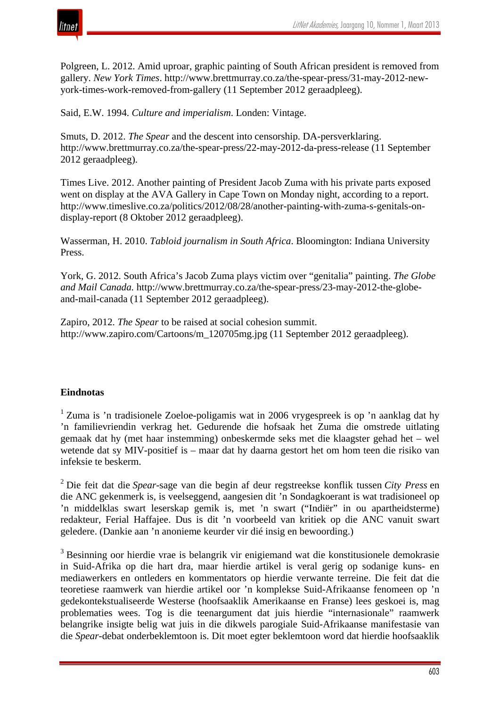

Polgreen, L. 2012. Amid uproar, graphic painting of South African president is removed from gallery. *New York Times*. http://www.brettmurray.co.za/the-spear-press/31-may-2012-newyork-times-work-removed-from-gallery (11 September 2012 geraadpleeg).

Said, E.W. 1994. *Culture and imperialism*. Londen: Vintage.

Smuts, D. 2012. *The Spear* and the descent into censorship. DA-persverklaring. http://www.brettmurray.co.za/the-spear-press/22-may-2012-da-press-release (11 September 2012 geraadpleeg).

Times Live. 2012. Another painting of President Jacob Zuma with his private parts exposed went on display at the AVA Gallery in Cape Town on Monday night, according to a report. http://www.timeslive.co.za/politics/2012/08/28/another-painting-with-zuma-s-genitals-ondisplay-report (8 Oktober 2012 geraadpleeg).

Wasserman, H. 2010. *Tabloid journalism in South Africa*. Bloomington: Indiana University Press.

York, G. 2012. South Africa's Jacob Zuma plays victim over "genitalia" painting. *The Globe and Mail Canada.* http://www.brettmurray.co.za/the-spear-press/23-may-2012-the-globeand-mail-canada (11 September 2012 geraadpleeg).

Zapiro, 2012. *The Spear* to be raised at social cohesion summit. http://www.zapiro.com/Cartoons/m\_120705mg.jpg (11 September 2012 geraadpleeg).

### **Eindnotas**

<sup>1</sup> Zuma is 'n tradisionele Zoeloe-poligamis wat in 2006 vrygespreek is op 'n aanklag dat hy 'n familievriendin verkrag het. Gedurende die hofsaak het Zuma die omstrede uitlating gemaak dat hy (met haar instemming) onbeskermde seks met die klaagster gehad het – wel wetende dat sy MIV-positief is – maar dat hy daarna gestort het om hom teen die risiko van infeksie te beskerm.

<sup>2</sup> Die feit dat die *Spear*-sage van die begin af deur regstreekse konflik tussen *City Press* en die ANC gekenmerk is, is veelseggend, aangesien dit 'n Sondagkoerant is wat tradisioneel op 'n middelklas swart leserskap gemik is, met 'n swart ("Indiër" in ou apartheidsterme) redakteur, Ferial Haffajee. Dus is dit 'n voorbeeld van kritiek op die ANC vanuit swart geledere. (Dankie aan 'n anonieme keurder vir dié insig en bewoording.)

<sup>3</sup> Besinning oor hierdie vrae is belangrik vir enigiemand wat die konstitusionele demokrasie in Suid-Afrika op die hart dra, maar hierdie artikel is veral gerig op sodanige kuns- en mediawerkers en ontleders en kommentators op hierdie verwante terreine. Die feit dat die teoretiese raamwerk van hierdie artikel oor 'n komplekse Suid-Afrikaanse fenomeen op 'n gedekontekstualiseerde Westerse (hoofsaaklik Amerikaanse en Franse) lees geskoei is, mag problematies wees. Tog is die teenargument dat juis hierdie "internasionale" raamwerk belangrike insigte belig wat juis in die dikwels parogiale Suid-Afrikaanse manifestasie van die *Spear*-debat onderbeklemtoon is. Dit moet egter beklemtoon word dat hierdie hoofsaaklik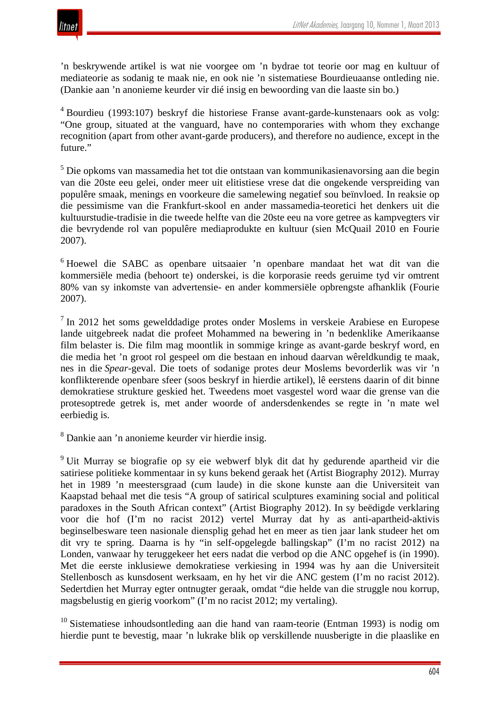

'n beskrywende artikel is wat nie voorgee om 'n bydrae tot teorie oor mag en kultuur of mediateorie as sodanig te maak nie, en ook nie 'n sistematiese Bourdieuaanse ontleding nie. (Dankie aan 'n anonieme keurder vir dié insig en bewoording van die laaste sin bo.)

<sup>4</sup> Bourdieu (1993:107) beskryf die historiese Franse avant-garde-kunstenaars ook as volg: "One group, situated at the vanguard, have no contemporaries with whom they exchange recognition (apart from other avant-garde producers), and therefore no audience, except in the future."

<sup>5</sup> Die opkoms van massamedia het tot die ontstaan van kommunikasienavorsing aan die begin van die 20ste eeu gelei, onder meer uit elitistiese vrese dat die ongekende verspreiding van populêre smaak, menings en voorkeure die samelewing negatief sou beïnvloed. In reaksie op die pessimisme van die Frankfurt-skool en ander massamedia-teoretici het denkers uit die kultuurstudie-tradisie in die tweede helfte van die 20ste eeu na vore getree as kampvegters vir die bevrydende rol van populêre mediaprodukte en kultuur (sien McQuail 2010 en Fourie 2007).

<sup>6</sup> Hoewel die SABC as openbare uitsaaier 'n openbare mandaat het wat dit van die kommersiële media (behoort te) onderskei, is die korporasie reeds geruime tyd vir omtrent 80% van sy inkomste van advertensie- en ander kommersiële opbrengste afhanklik (Fourie 2007).

<sup>7</sup> In 2012 het soms gewelddadige protes onder Moslems in verskeie Arabiese en Europese lande uitgebreek nadat die profeet Mohammed na bewering in 'n bedenklike Amerikaanse film belaster is. Die film mag moontlik in sommige kringe as avant-garde beskryf word, en die media het 'n groot rol gespeel om die bestaan en inhoud daarvan wêreldkundig te maak, nes in die *Spear*-geval. Die toets of sodanige protes deur Moslems bevorderlik was vir 'n konflikterende openbare sfeer (soos beskryf in hierdie artikel), lê eerstens daarin of dit binne demokratiese strukture geskied het. Tweedens moet vasgestel word waar die grense van die protesoptrede getrek is, met ander woorde of andersdenkendes se regte in 'n mate wel eerbiedig is.

<sup>8</sup> Dankie aan 'n anonieme keurder vir hierdie insig.

<sup>9</sup> Uit Murray se biografie op sy eie webwerf blyk dit dat hy gedurende apartheid vir die satiriese politieke kommentaar in sy kuns bekend geraak het (Artist Biography 2012). Murray het in 1989 'n meestersgraad (cum laude) in die skone kunste aan die Universiteit van Kaapstad behaal met die tesis "A group of satirical sculptures examining social and political paradoxes in the South African context" (Artist Biography 2012). In sy beëdigde verklaring voor die hof (I'm no racist 2012) vertel Murray dat hy as anti-apartheid-aktivis beginselbesware teen nasionale diensplig gehad het en meer as tien jaar lank studeer het om dit vry te spring. Daarna is hy "in self-opgelegde ballingskap" (I'm no racist 2012) na Londen, vanwaar hy teruggekeer het eers nadat die verbod op die ANC opgehef is (in 1990). Met die eerste inklusiewe demokratiese verkiesing in 1994 was hy aan die Universiteit Stellenbosch as kunsdosent werksaam, en hy het vir die ANC gestem (I'm no racist 2012). Sedertdien het Murray egter ontnugter geraak, omdat "die helde van die struggle nou korrup, magsbelustig en gierig voorkom" (I'm no racist 2012; my vertaling).

 $10$  Sistematiese inhoudsontleding aan die hand van raam-teorie (Entman 1993) is nodig om hierdie punt te bevestig, maar 'n lukrake blik op verskillende nuusberigte in die plaaslike en